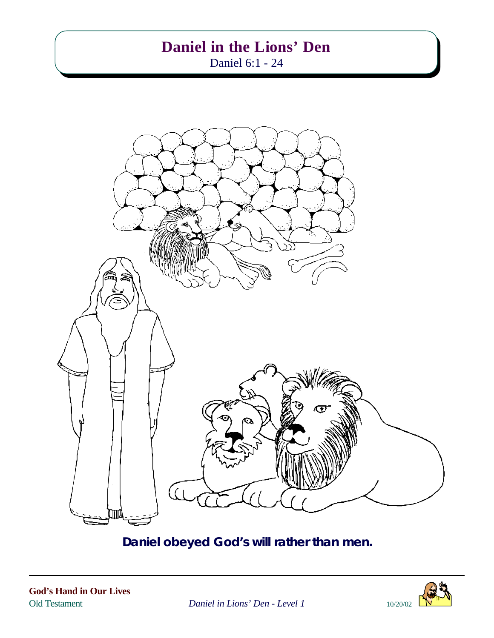# **Daniel in the Lions' Den**

Daniel 6:1 - 24



**Daniel obeyed God's will rather than men.**



Old Testament *Daniel in Lions' Den - Level 1* 10/20/02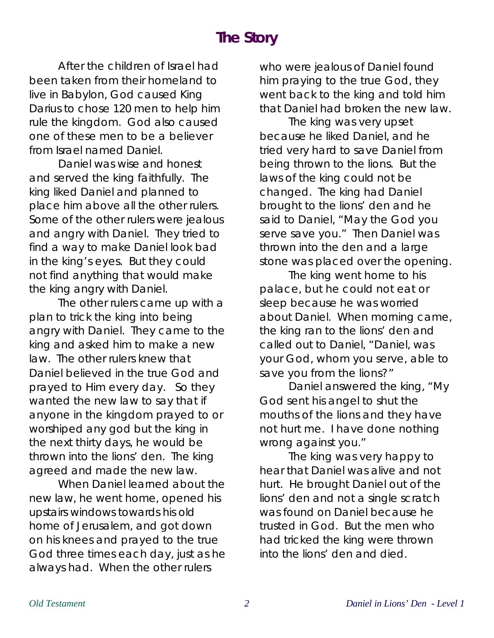# **The Story**

After the children of Israel had been taken from their homeland to live in Babylon, God caused King Darius to chose 120 men to help him rule the kingdom. God also caused one of these men to be a believer from Israel named Daniel.

Daniel was wise and honest and served the king faithfully. The king liked Daniel and planned to place him above all the other rulers. Some of the other rulers were jealous and angry with Daniel. They tried to find a way to make Daniel look bad in the king's eyes. But they could not find anything that would make the king angry with Daniel.

The other rulers came up with a plan to trick the king into being angry with Daniel. They came to the king and asked him to make a new law. The other rulers knew that Daniel believed in the true God and prayed to Him every day. So they wanted the new law to say that if anyone in the kingdom prayed to or worshiped any god but the king in the next thirty days, he would be thrown into the lions' den. The king agreed and made the new law.

When Daniel learned about the new law, he went home, opened his upstairs windows towards his old home of Jerusalem, and got down on his knees and prayed to the true God three times each day, just as he always had. When the other rulers

who were jealous of Daniel found him praying to the true God, they went back to the king and told him that Daniel had broken the new law.

The king was very upset because he liked Daniel, and he tried very hard to save Daniel from being thrown to the lions. But the laws of the king could not be changed. The king had Daniel brought to the lions' den and he said to Daniel, "May the God you serve save you." Then Daniel was thrown into the den and a large stone was placed over the opening.

The king went home to his palace, but he could not eat or sleep because he was worried about Daniel. When morning came, the king ran to the lions' den and called out to Daniel, "Daniel, was your God, whom you serve, able to save you from the lions?"

Daniel answered the king, "My God sent his angel to shut the mouths of the lions and they have not hurt me. I have done nothing wrong against you."

The king was very happy to hear that Daniel was alive and not hurt. He brought Daniel out of the lions' den and not a single scratch was found on Daniel because he trusted in God. But the men who had tricked the king were thrown into the lions' den and died.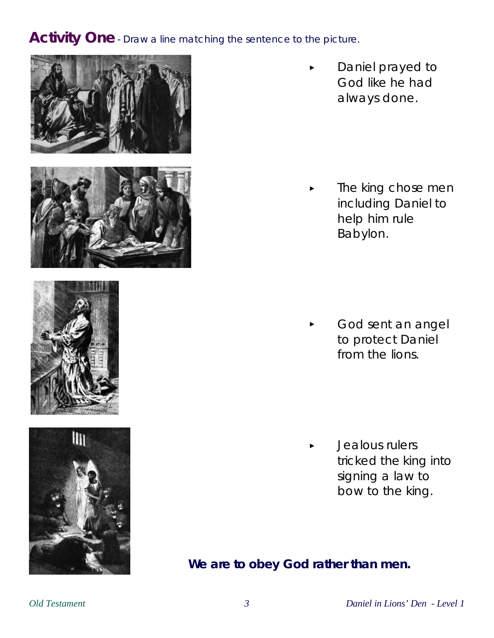#### **Activity One** - Draw a line matching the sentence to the picture.









**Daniel prayed to** God like he had always done.

The king chose men including Daniel to help him rule Babylon.

God sent an angel to protect Daniel from the lions.

< Jealous rulers tricked the king into signing a law to bow to the king.

**We are to obey God rather than men.**